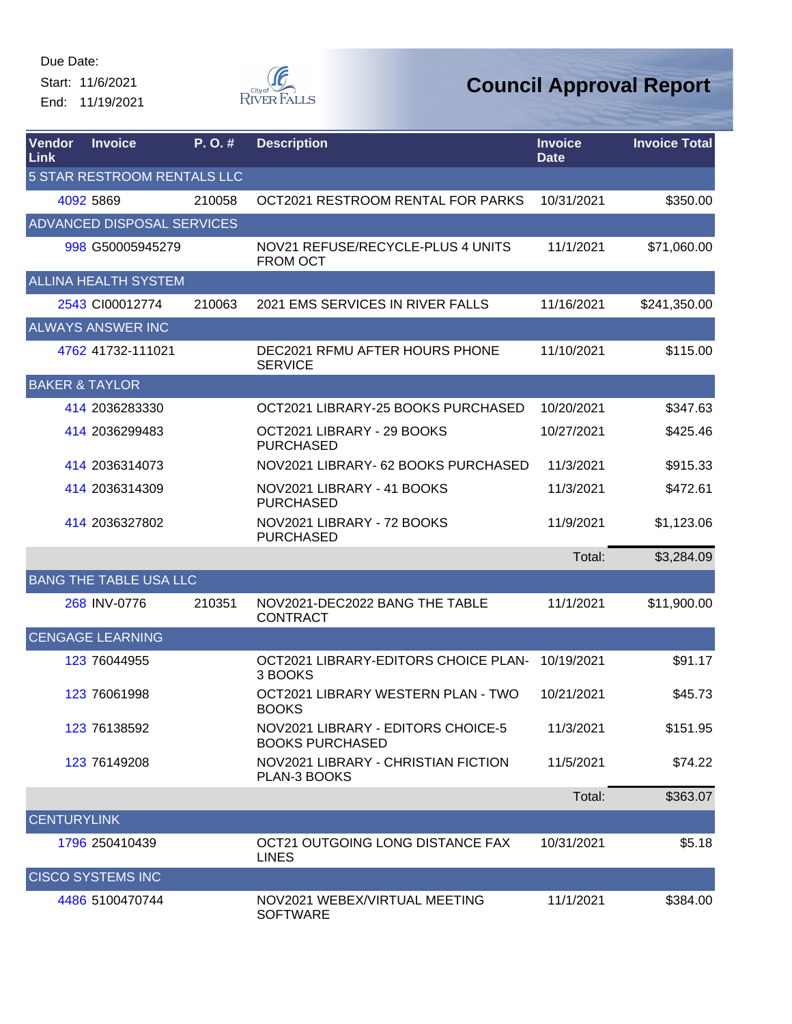Start: 11/6/2021 End: 11/19/2021



| Vendor<br>Link            | <b>Invoice</b>                | P.O.#  | <b>Description</b>                                           | <b>Invoice</b><br><b>Date</b> | <b>Invoice Total</b> |
|---------------------------|-------------------------------|--------|--------------------------------------------------------------|-------------------------------|----------------------|
|                           | 5 STAR RESTROOM RENTALS LLC   |        |                                                              |                               |                      |
|                           | 4092 5869                     | 210058 | OCT2021 RESTROOM RENTAL FOR PARKS                            | 10/31/2021                    | \$350.00             |
|                           | ADVANCED DISPOSAL SERVICES    |        |                                                              |                               |                      |
|                           | 998 G50005945279              |        | NOV21 REFUSE/RECYCLE-PLUS 4 UNITS<br><b>FROM OCT</b>         | 11/1/2021                     | \$71,060.00          |
|                           | <b>ALLINA HEALTH SYSTEM</b>   |        |                                                              |                               |                      |
|                           | 2543 CI00012774               | 210063 | 2021 EMS SERVICES IN RIVER FALLS                             | 11/16/2021                    | \$241,350.00         |
|                           | <b>ALWAYS ANSWER INC</b>      |        |                                                              |                               |                      |
|                           | 4762 41732-111021             |        | DEC2021 RFMU AFTER HOURS PHONE<br><b>SERVICE</b>             | 11/10/2021                    | \$115.00             |
| <b>BAKER &amp; TAYLOR</b> |                               |        |                                                              |                               |                      |
|                           | 414 2036283330                |        | OCT2021 LIBRARY-25 BOOKS PURCHASED                           | 10/20/2021                    | \$347.63             |
|                           | 414 2036299483                |        | OCT2021 LIBRARY - 29 BOOKS<br><b>PURCHASED</b>               | 10/27/2021                    | \$425.46             |
|                           | 414 2036314073                |        | NOV2021 LIBRARY- 62 BOOKS PURCHASED                          | 11/3/2021                     | \$915.33             |
|                           | 414 2036314309                |        | NOV2021 LIBRARY - 41 BOOKS<br><b>PURCHASED</b>               | 11/3/2021                     | \$472.61             |
|                           | 414 2036327802                |        | NOV2021 LIBRARY - 72 BOOKS<br><b>PURCHASED</b>               | 11/9/2021                     | \$1,123.06           |
|                           |                               |        |                                                              | Total:                        | \$3,284.09           |
|                           | <b>BANG THE TABLE USA LLC</b> |        |                                                              |                               |                      |
|                           | 268 INV-0776                  | 210351 | NOV2021-DEC2022 BANG THE TABLE<br><b>CONTRACT</b>            | 11/1/2021                     | \$11,900.00          |
|                           | <b>CENGAGE LEARNING</b>       |        |                                                              |                               |                      |
|                           | 123 76044955                  |        | OCT2021 LIBRARY-EDITORS CHOICE PLAN-<br>3 BOOKS              | 10/19/2021                    | \$91.17              |
|                           | 123 76061998                  |        | OCT2021 LIBRARY WESTERN PLAN - TWO<br><b>BOOKS</b>           | 10/21/2021                    | \$45.73              |
|                           | 123 76138592                  |        | NOV2021 LIBRARY - EDITORS CHOICE-5<br><b>BOOKS PURCHASED</b> | 11/3/2021                     | \$151.95             |
|                           | 123 76149208                  |        | NOV2021 LIBRARY - CHRISTIAN FICTION<br>PLAN-3 BOOKS          | 11/5/2021                     | \$74.22              |
|                           |                               |        |                                                              | Total:                        | \$363.07             |
| <b>CENTURYLINK</b>        |                               |        |                                                              |                               |                      |
|                           | 1796 250410439                |        | OCT21 OUTGOING LONG DISTANCE FAX<br><b>LINES</b>             | 10/31/2021                    | \$5.18               |
|                           | <b>CISCO SYSTEMS INC</b>      |        |                                                              |                               |                      |
|                           | 4486 5100470744               |        | NOV2021 WEBEX/VIRTUAL MEETING<br><b>SOFTWARE</b>             | 11/1/2021                     | \$384.00             |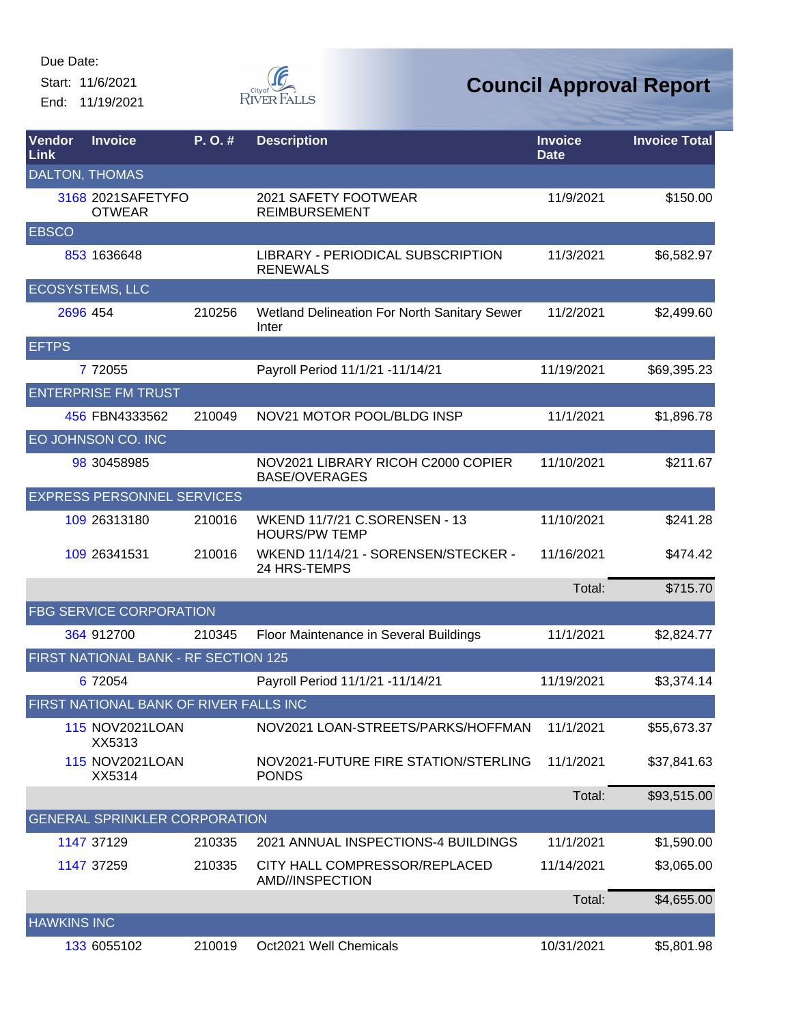Start: 11/6/2021 End: 11/19/2021



| <b>Vendor</b><br>Link | <b>Invoice</b>                         | P.O.#  | <b>Description</b>                                         | <b>Invoice</b><br><b>Date</b> | <b>Invoice Total</b> |
|-----------------------|----------------------------------------|--------|------------------------------------------------------------|-------------------------------|----------------------|
| <b>DALTON, THOMAS</b> |                                        |        |                                                            |                               |                      |
|                       | 3168 2021 SAFETY FO<br><b>OTWEAR</b>   |        | 2021 SAFETY FOOTWEAR<br><b>REIMBURSEMENT</b>               | 11/9/2021                     | \$150.00             |
| <b>EBSCO</b>          |                                        |        |                                                            |                               |                      |
|                       | 853 1636648                            |        | LIBRARY - PERIODICAL SUBSCRIPTION<br><b>RENEWALS</b>       | 11/3/2021                     | \$6,582.97           |
|                       | <b>ECOSYSTEMS, LLC</b>                 |        |                                                            |                               |                      |
| 2696 454              |                                        | 210256 | Wetland Delineation For North Sanitary Sewer<br>Inter      | 11/2/2021                     | \$2,499.60           |
| <b>EFTPS</b>          |                                        |        |                                                            |                               |                      |
|                       | 7 7 2055                               |        | Payroll Period 11/1/21 -11/14/21                           | 11/19/2021                    | \$69,395.23          |
|                       | <b>ENTERPRISE FM TRUST</b>             |        |                                                            |                               |                      |
|                       | 456 FBN4333562                         | 210049 | NOV21 MOTOR POOL/BLDG INSP                                 | 11/1/2021                     | \$1,896.78           |
|                       | EO JOHNSON CO. INC                     |        |                                                            |                               |                      |
|                       | 98 30458985                            |        | NOV2021 LIBRARY RICOH C2000 COPIER<br><b>BASE/OVERAGES</b> | 11/10/2021                    | \$211.67             |
|                       | <b>EXPRESS PERSONNEL SERVICES</b>      |        |                                                            |                               |                      |
|                       | 109 26313180                           | 210016 | WKEND 11/7/21 C.SORENSEN - 13<br><b>HOURS/PW TEMP</b>      | 11/10/2021                    | \$241.28             |
|                       | 109 26341531                           | 210016 | WKEND 11/14/21 - SORENSEN/STECKER -<br>24 HRS-TEMPS        | 11/16/2021                    | \$474.42             |
|                       |                                        |        |                                                            | Total:                        | \$715.70             |
|                       | <b>FBG SERVICE CORPORATION</b>         |        |                                                            |                               |                      |
|                       | 364 912700                             | 210345 | Floor Maintenance in Several Buildings                     | 11/1/2021                     | \$2,824.77           |
|                       | FIRST NATIONAL BANK - RF SECTION 125   |        |                                                            |                               |                      |
|                       | 6 72054                                |        | Payroll Period 11/1/21 -11/14/21                           | 11/19/2021                    | \$3,374.14           |
|                       | FIRST NATIONAL BANK OF RIVER FALLS INC |        |                                                            |                               |                      |
|                       | <b>115 NOV2021LOAN</b><br>XX5313       |        | NOV2021 LOAN-STREETS/PARKS/HOFFMAN                         | 11/1/2021                     | \$55,673.37          |
|                       | <b>115 NOV2021LOAN</b><br>XX5314       |        | NOV2021-FUTURE FIRE STATION/STERLING<br><b>PONDS</b>       | 11/1/2021                     | \$37,841.63          |
|                       |                                        |        |                                                            | Total:                        | \$93,515.00          |
|                       | <b>GENERAL SPRINKLER CORPORATION</b>   |        |                                                            |                               |                      |
|                       | 1147 37129                             | 210335 | 2021 ANNUAL INSPECTIONS-4 BUILDINGS                        | 11/1/2021                     | \$1,590.00           |
|                       | 1147 37259                             | 210335 | CITY HALL COMPRESSOR/REPLACED<br>AMD//INSPECTION           | 11/14/2021                    | \$3,065.00           |
|                       |                                        |        |                                                            | Total:                        | \$4,655.00           |
| <b>HAWKINS INC</b>    |                                        |        |                                                            |                               |                      |
|                       | 133 6055102                            | 210019 | Oct2021 Well Chemicals                                     | 10/31/2021                    | \$5,801.98           |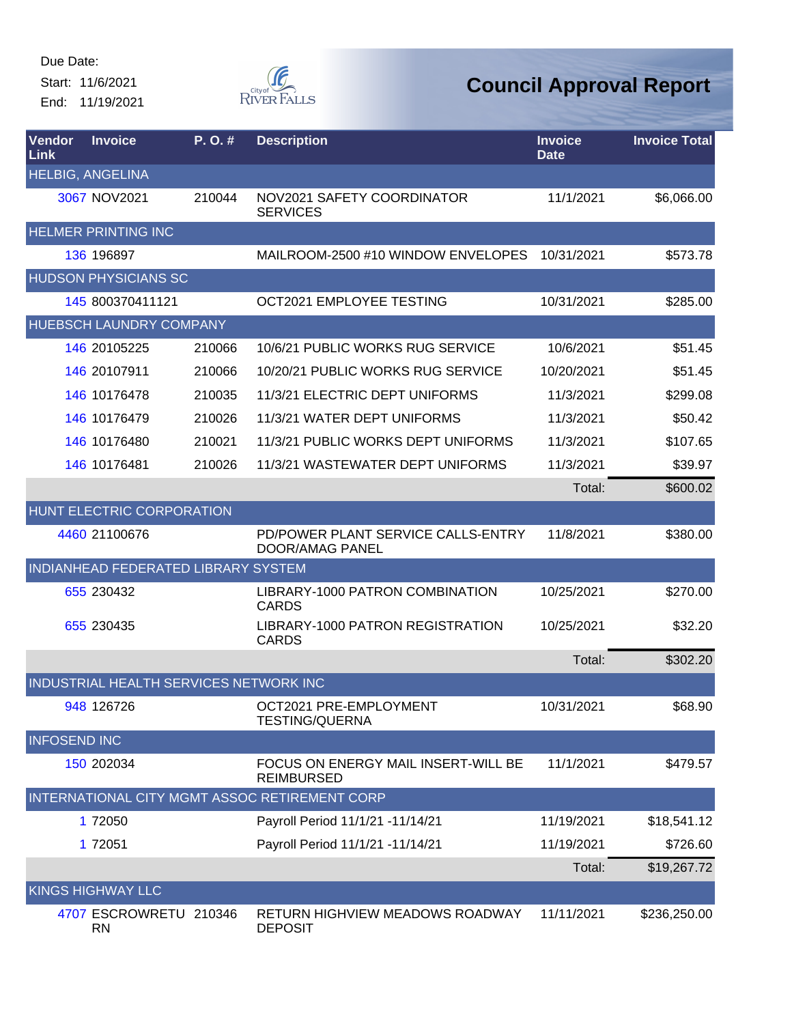Start: 11/6/2021 End: 11/19/2021



| Vendor<br><b>Link</b> | <b>Invoice</b>                         | P.O.#  | <b>Description</b>                                       | <b>Invoice</b><br><b>Date</b> | <b>Invoice Total</b> |
|-----------------------|----------------------------------------|--------|----------------------------------------------------------|-------------------------------|----------------------|
|                       | <b>HELBIG, ANGELINA</b>                |        |                                                          |                               |                      |
|                       | 3067 NOV2021                           | 210044 | NOV2021 SAFETY COORDINATOR<br><b>SERVICES</b>            | 11/1/2021                     | \$6,066.00           |
|                       | <b>HELMER PRINTING INC</b>             |        |                                                          |                               |                      |
|                       | 136 196897                             |        | MAILROOM-2500 #10 WINDOW ENVELOPES                       | 10/31/2021                    | \$573.78             |
|                       | <b>HUDSON PHYSICIANS SC</b>            |        |                                                          |                               |                      |
|                       | 145 800370411121                       |        | OCT2021 EMPLOYEE TESTING                                 | 10/31/2021                    | \$285.00             |
|                       | HUEBSCH LAUNDRY COMPANY                |        |                                                          |                               |                      |
|                       | 146 20105225                           | 210066 | 10/6/21 PUBLIC WORKS RUG SERVICE                         | 10/6/2021                     | \$51.45              |
|                       | 146 20107911                           | 210066 | 10/20/21 PUBLIC WORKS RUG SERVICE                        | 10/20/2021                    | \$51.45              |
|                       | 146 10176478                           | 210035 | 11/3/21 ELECTRIC DEPT UNIFORMS                           | 11/3/2021                     | \$299.08             |
|                       | 146 10176479                           | 210026 | 11/3/21 WATER DEPT UNIFORMS                              | 11/3/2021                     | \$50.42              |
|                       | 146 10176480                           | 210021 | 11/3/21 PUBLIC WORKS DEPT UNIFORMS                       | 11/3/2021                     | \$107.65             |
|                       | 146 10176481                           | 210026 | 11/3/21 WASTEWATER DEPT UNIFORMS                         | 11/3/2021                     | \$39.97              |
|                       |                                        |        |                                                          | Total:                        | \$600.02             |
|                       | HUNT ELECTRIC CORPORATION              |        |                                                          |                               |                      |
|                       | 4460 21100676                          |        | PD/POWER PLANT SERVICE CALLS-ENTRY<br>DOOR/AMAG PANEL    | 11/8/2021                     | \$380.00             |
|                       | INDIANHEAD FEDERATED LIBRARY SYSTEM    |        |                                                          |                               |                      |
|                       | 655 230432                             |        | LIBRARY-1000 PATRON COMBINATION<br><b>CARDS</b>          | 10/25/2021                    | \$270.00             |
|                       | 655 230435                             |        | LIBRARY-1000 PATRON REGISTRATION<br><b>CARDS</b>         | 10/25/2021                    | \$32.20              |
|                       |                                        |        |                                                          | Total:                        | \$302.20             |
|                       | INDUSTRIAL HEALTH SERVICES NETWORK INC |        |                                                          |                               |                      |
|                       | 948 126726                             |        | OCT2021 PRE-EMPLOYMENT<br><b>TESTING/QUERNA</b>          | 10/31/2021                    | \$68.90              |
| <b>INFOSEND INC</b>   |                                        |        |                                                          |                               |                      |
|                       | 150 202034                             |        | FOCUS ON ENERGY MAIL INSERT-WILL BE<br><b>REIMBURSED</b> | 11/1/2021                     | \$479.57             |
|                       |                                        |        | INTERNATIONAL CITY MGMT ASSOC RETIREMENT CORP            |                               |                      |
|                       | 1 72050                                |        | Payroll Period 11/1/21 -11/14/21                         | 11/19/2021                    | \$18,541.12          |
|                       | 1 72051                                |        | Payroll Period 11/1/21 -11/14/21                         | 11/19/2021                    | \$726.60             |
|                       |                                        |        |                                                          | Total:                        | \$19,267.72          |
|                       | <b>KINGS HIGHWAY LLC</b>               |        |                                                          |                               |                      |
|                       | 4707 ESCROWRETU 210346<br><b>RN</b>    |        | RETURN HIGHVIEW MEADOWS ROADWAY<br><b>DEPOSIT</b>        | 11/11/2021                    | \$236,250.00         |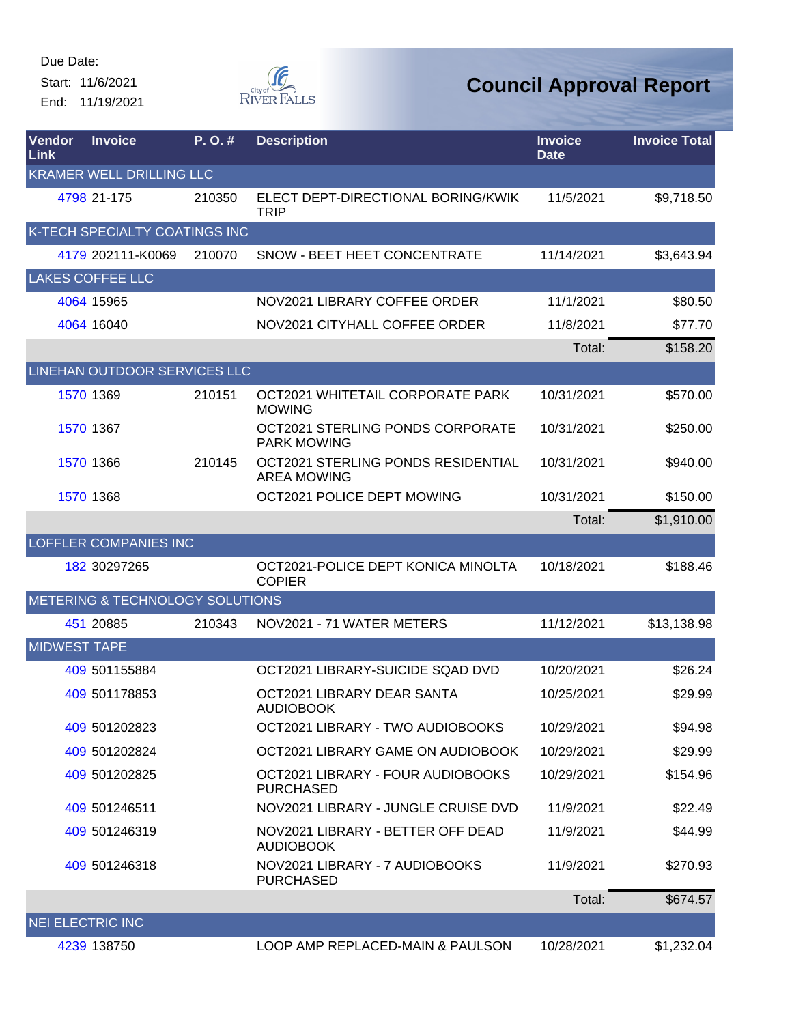Start: 11/6/2021 End: 11/19/2021



| <b>Vendor</b><br>Link | <b>Invoice</b>                  | P. O. # | <b>Description</b>                                       | <b>Invoice</b><br><b>Date</b> | <b>Invoice Total</b> |
|-----------------------|---------------------------------|---------|----------------------------------------------------------|-------------------------------|----------------------|
|                       | <b>KRAMER WELL DRILLING LLC</b> |         |                                                          |                               |                      |
|                       | 4798 21-175                     | 210350  | ELECT DEPT-DIRECTIONAL BORING/KWIK<br><b>TRIP</b>        | 11/5/2021                     | \$9,718.50           |
|                       | K-TECH SPECIALTY COATINGS INC   |         |                                                          |                               |                      |
|                       | 4179 202111-K0069               | 210070  | SNOW - BEET HEET CONCENTRATE                             | 11/14/2021                    | \$3,643.94           |
|                       | <b>LAKES COFFEE LLC</b>         |         |                                                          |                               |                      |
|                       | 4064 15965                      |         | NOV2021 LIBRARY COFFEE ORDER                             | 11/1/2021                     | \$80.50              |
|                       | 4064 16040                      |         | NOV2021 CITYHALL COFFEE ORDER                            | 11/8/2021                     | \$77.70              |
|                       |                                 |         |                                                          | Total:                        | \$158.20             |
|                       | LINEHAN OUTDOOR SERVICES LLC    |         |                                                          |                               |                      |
|                       | 1570 1369                       | 210151  | OCT2021 WHITETAIL CORPORATE PARK<br><b>MOWING</b>        | 10/31/2021                    | \$570.00             |
|                       | 1570 1367                       |         | OCT2021 STERLING PONDS CORPORATE<br><b>PARK MOWING</b>   | 10/31/2021                    | \$250.00             |
|                       | 1570 1366                       | 210145  | OCT2021 STERLING PONDS RESIDENTIAL<br><b>AREA MOWING</b> | 10/31/2021                    | \$940.00             |
|                       | 1570 1368                       |         | OCT2021 POLICE DEPT MOWING                               | 10/31/2021                    | \$150.00             |
|                       |                                 |         |                                                          | Total:                        | \$1,910.00           |
|                       | <b>LOFFLER COMPANIES INC</b>    |         |                                                          |                               |                      |
|                       | 182 30297265                    |         | OCT2021-POLICE DEPT KONICA MINOLTA<br><b>COPIER</b>      | 10/18/2021                    | \$188.46             |
|                       | METERING & TECHNOLOGY SOLUTIONS |         |                                                          |                               |                      |
|                       | 451 20885                       | 210343  | NOV2021 - 71 WATER METERS                                | 11/12/2021                    | \$13,138.98          |
| <b>MIDWEST TAPE</b>   |                                 |         |                                                          |                               |                      |
|                       | 409 501155884                   |         | OCT2021 LIBRARY-SUICIDE SQAD DVD                         | 10/20/2021                    | \$26.24              |
|                       | 409 501178853                   |         | OCT2021 LIBRARY DEAR SANTA<br><b>AUDIOBOOK</b>           | 10/25/2021                    | \$29.99              |
|                       | 409 501202823                   |         | OCT2021 LIBRARY - TWO AUDIOBOOKS                         | 10/29/2021                    | \$94.98              |
|                       | 409 501202824                   |         | OCT2021 LIBRARY GAME ON AUDIOBOOK                        | 10/29/2021                    | \$29.99              |
|                       | 409 501202825                   |         | OCT2021 LIBRARY - FOUR AUDIOBOOKS<br><b>PURCHASED</b>    | 10/29/2021                    | \$154.96             |
|                       | 409 501246511                   |         | NOV2021 LIBRARY - JUNGLE CRUISE DVD                      | 11/9/2021                     | \$22.49              |
|                       | 409 501246319                   |         | NOV2021 LIBRARY - BETTER OFF DEAD<br><b>AUDIOBOOK</b>    | 11/9/2021                     | \$44.99              |
|                       | 409 501246318                   |         | NOV2021 LIBRARY - 7 AUDIOBOOKS<br><b>PURCHASED</b>       | 11/9/2021                     | \$270.93             |
|                       |                                 |         |                                                          | Total:                        | \$674.57             |
|                       | <b>NEI ELECTRIC INC</b>         |         |                                                          |                               |                      |
|                       | 4239 138750                     |         | LOOP AMP REPLACED-MAIN & PAULSON                         | 10/28/2021                    | \$1,232.04           |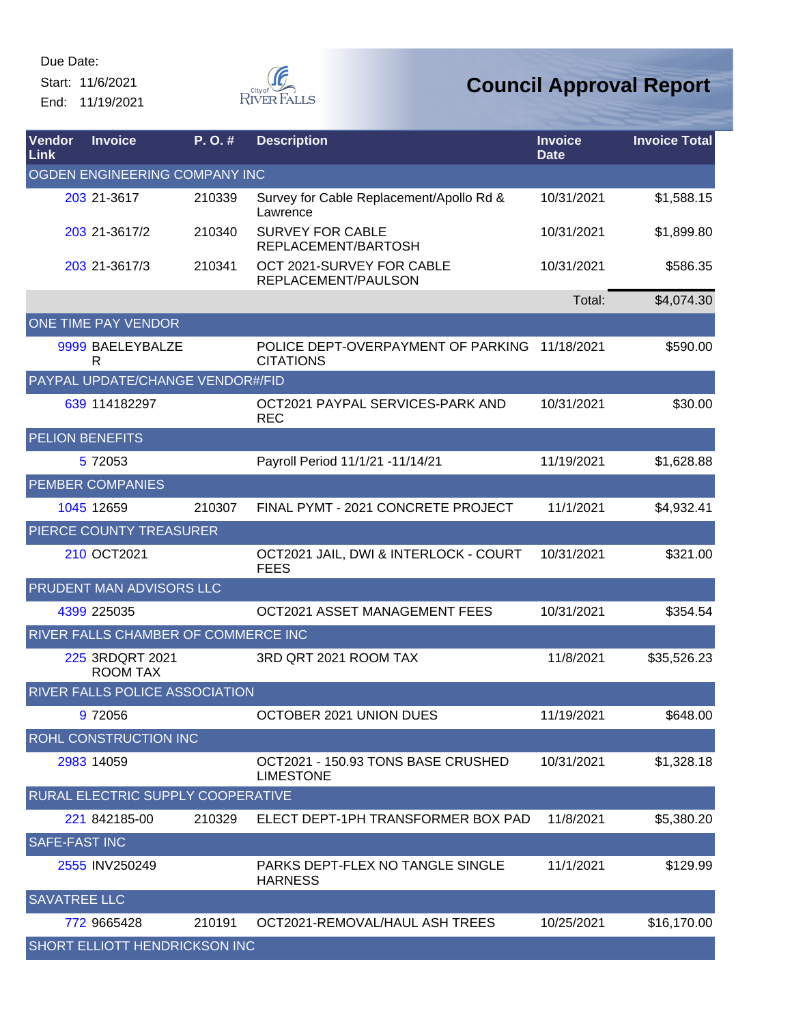Start: 11/6/2021 End: 11/19/2021



| Vendor<br>Link                | <b>Invoice</b>                      | P. O. # | <b>Description</b>                                        | <b>Invoice</b><br><b>Date</b> | <b>Invoice Total</b> |  |  |
|-------------------------------|-------------------------------------|---------|-----------------------------------------------------------|-------------------------------|----------------------|--|--|
| OGDEN ENGINEERING COMPANY INC |                                     |         |                                                           |                               |                      |  |  |
|                               | 203 21-3617                         | 210339  | Survey for Cable Replacement/Apollo Rd &<br>Lawrence      | 10/31/2021                    | \$1,588.15           |  |  |
|                               | 203 21-3617/2                       | 210340  | <b>SURVEY FOR CABLE</b><br>REPLACEMENT/BARTOSH            | 10/31/2021                    | \$1,899.80           |  |  |
|                               | 203 21-3617/3                       | 210341  | OCT 2021-SURVEY FOR CABLE<br>REPLACEMENT/PAULSON          | 10/31/2021                    | \$586.35             |  |  |
|                               |                                     |         |                                                           | Total:                        | \$4,074.30           |  |  |
|                               | ONE TIME PAY VENDOR                 |         |                                                           |                               |                      |  |  |
|                               | 9999 BAELEYBALZE<br>R               |         | POLICE DEPT-OVERPAYMENT OF PARKING<br><b>CITATIONS</b>    | 11/18/2021                    | \$590.00             |  |  |
|                               | PAYPAL UPDATE/CHANGE VENDOR#/FID    |         |                                                           |                               |                      |  |  |
|                               | 639 114182297                       |         | OCT2021 PAYPAL SERVICES-PARK AND<br><b>REC</b>            | 10/31/2021                    | \$30.00              |  |  |
|                               | <b>PELION BENEFITS</b>              |         |                                                           |                               |                      |  |  |
|                               | 5 72053                             |         | Payroll Period 11/1/21 -11/14/21                          | 11/19/2021                    | \$1,628.88           |  |  |
|                               | <b>PEMBER COMPANIES</b>             |         |                                                           |                               |                      |  |  |
|                               | 1045 12659                          | 210307  | FINAL PYMT - 2021 CONCRETE PROJECT                        | 11/1/2021                     | \$4,932.41           |  |  |
|                               | PIERCE COUNTY TREASURER             |         |                                                           |                               |                      |  |  |
|                               | 210 OCT2021                         |         | OCT2021 JAIL, DWI & INTERLOCK - COURT<br><b>FEES</b>      | 10/31/2021                    | \$321.00             |  |  |
|                               | PRUDENT MAN ADVISORS LLC            |         |                                                           |                               |                      |  |  |
|                               | 4399 225035                         |         | OCT2021 ASSET MANAGEMENT FEES                             | 10/31/2021                    | \$354.54             |  |  |
|                               | RIVER FALLS CHAMBER OF COMMERCE INC |         |                                                           |                               |                      |  |  |
|                               | 225 3RDQRT 2021<br><b>ROOM TAX</b>  |         | 3RD QRT 2021 ROOM TAX                                     | 11/8/2021                     | \$35,526.23          |  |  |
|                               | RIVER FALLS POLICE ASSOCIATION      |         |                                                           |                               |                      |  |  |
|                               | 9 72056                             |         | OCTOBER 2021 UNION DUES                                   | 11/19/2021                    | \$648.00             |  |  |
|                               | ROHL CONSTRUCTION INC               |         |                                                           |                               |                      |  |  |
|                               | 2983 14059                          |         | OCT2021 - 150.93 TONS BASE CRUSHED<br><b>LIMESTONE</b>    | 10/31/2021                    | \$1,328.18           |  |  |
|                               | RURAL ELECTRIC SUPPLY COOPERATIVE   |         |                                                           |                               |                      |  |  |
|                               | 221 842185-00                       | 210329  | ELECT DEPT-1PH TRANSFORMER BOX PAD                        | 11/8/2021                     | \$5,380.20           |  |  |
| <b>SAFE-FAST INC</b>          |                                     |         |                                                           |                               |                      |  |  |
|                               | 2555 INV250249                      |         | <b>PARKS DEPT-FLEX NO TANGLE SINGLE</b><br><b>HARNESS</b> | 11/1/2021                     | \$129.99             |  |  |
| <b>SAVATREE LLC</b>           |                                     |         |                                                           |                               |                      |  |  |
|                               | 772 9665428                         | 210191  | OCT2021-REMOVAL/HAUL ASH TREES                            | 10/25/2021                    | \$16,170.00          |  |  |
|                               | SHORT ELLIOTT HENDRICKSON INC       |         |                                                           |                               |                      |  |  |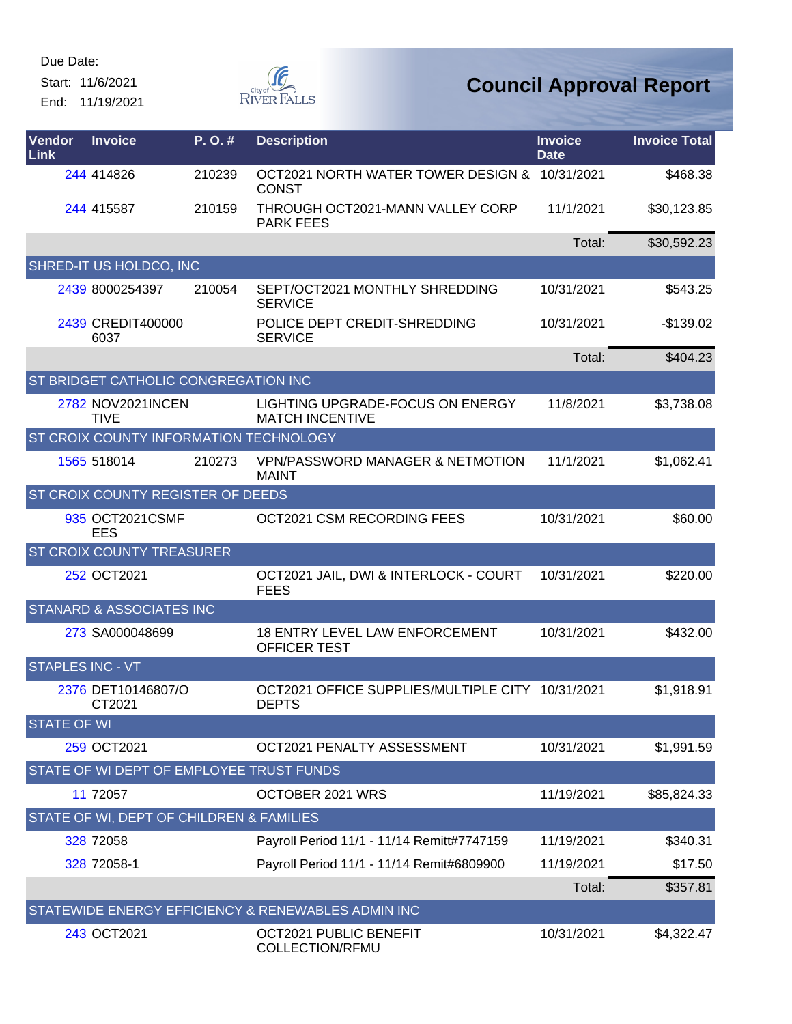Start: 11/6/2021 End: 11/19/2021



| Vendor<br>Link          | <b>Invoice</b>                           | P. O.# | <b>Description</b>                                               | <b>Invoice</b><br><b>Date</b> | <b>Invoice Total</b> |
|-------------------------|------------------------------------------|--------|------------------------------------------------------------------|-------------------------------|----------------------|
|                         | 244 414826                               | 210239 | OCT2021 NORTH WATER TOWER DESIGN & 10/31/2021<br><b>CONST</b>    |                               | \$468.38             |
|                         | 244 415587                               | 210159 | THROUGH OCT2021-MANN VALLEY CORP<br><b>PARK FEES</b>             | 11/1/2021                     | \$30,123.85          |
|                         |                                          |        |                                                                  | Total:                        | \$30,592.23          |
|                         | SHRED-IT US HOLDCO, INC                  |        |                                                                  |                               |                      |
|                         | 2439 8000254397                          | 210054 | SEPT/OCT2021 MONTHLY SHREDDING<br><b>SERVICE</b>                 | 10/31/2021                    | \$543.25             |
|                         | 2439 CREDIT400000<br>6037                |        | POLICE DEPT CREDIT-SHREDDING<br><b>SERVICE</b>                   | 10/31/2021                    | $-$139.02$           |
|                         |                                          |        |                                                                  | Total:                        | \$404.23             |
|                         | ST BRIDGET CATHOLIC CONGREGATION INC     |        |                                                                  |                               |                      |
|                         | 2782 NOV2021INCEN<br><b>TIVE</b>         |        | LIGHTING UPGRADE-FOCUS ON ENERGY<br><b>MATCH INCENTIVE</b>       | 11/8/2021                     | \$3,738.08           |
|                         | ST CROIX COUNTY INFORMATION TECHNOLOGY   |        |                                                                  |                               |                      |
|                         | 1565 518014                              | 210273 | <b>VPN/PASSWORD MANAGER &amp; NETMOTION</b><br><b>MAINT</b>      | 11/1/2021                     | \$1,062.41           |
|                         | ST CROIX COUNTY REGISTER OF DEEDS        |        |                                                                  |                               |                      |
|                         | 935 OCT2021CSMF<br>EES                   |        | OCT2021 CSM RECORDING FEES                                       | 10/31/2021                    | \$60.00              |
|                         | ST CROIX COUNTY TREASURER                |        |                                                                  |                               |                      |
|                         | 252 OCT2021                              |        | OCT2021 JAIL, DWI & INTERLOCK - COURT<br><b>FEES</b>             | 10/31/2021                    | \$220.00             |
|                         | <b>STANARD &amp; ASSOCIATES INC</b>      |        |                                                                  |                               |                      |
|                         | 273 SA000048699                          |        | <b>18 ENTRY LEVEL LAW ENFORCEMENT</b><br>OFFICER TEST            | 10/31/2021                    | \$432.00             |
| <b>STAPLES INC - VT</b> |                                          |        |                                                                  |                               |                      |
|                         | 2376 DET10146807/O<br>CT2021             |        | OCT2021 OFFICE SUPPLIES/MULTIPLE CITY 10/31/2021<br><b>DEPTS</b> |                               | \$1,918.91           |
| <b>STATE OF WI</b>      |                                          |        |                                                                  |                               |                      |
|                         | 259 OCT2021                              |        | OCT2021 PENALTY ASSESSMENT                                       | 10/31/2021                    | \$1,991.59           |
|                         | STATE OF WI DEPT OF EMPLOYEE TRUST FUNDS |        |                                                                  |                               |                      |
|                         | 11 72057                                 |        | OCTOBER 2021 WRS                                                 | 11/19/2021                    | \$85,824.33          |
|                         | STATE OF WI, DEPT OF CHILDREN & FAMILIES |        |                                                                  |                               |                      |
|                         | 328 72058                                |        | Payroll Period 11/1 - 11/14 Remitt#7747159                       | 11/19/2021                    | \$340.31             |
|                         | 328 72058-1                              |        | Payroll Period 11/1 - 11/14 Remit#6809900                        | 11/19/2021                    | \$17.50              |
|                         |                                          |        |                                                                  | Total:                        | \$357.81             |
|                         |                                          |        | STATEWIDE ENERGY EFFICIENCY & RENEWABLES ADMIN INC               |                               |                      |
|                         | 243 OCT2021                              |        | OCT2021 PUBLIC BENEFIT<br>COLLECTION/RFMU                        | 10/31/2021                    | \$4,322.47           |